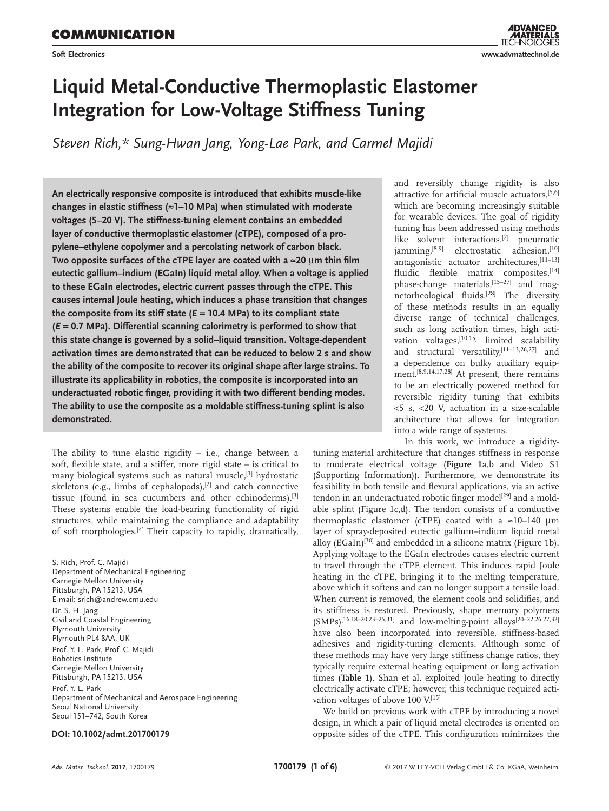**Soft Electronics**

# **Liquid Metal-Conductive Thermoplastic Elastomer Integration for Low-Voltage Stiffness Tuning**

*Steven Rich,\* Sung-Hwan Jang, Yong-Lae Park, and Carmel Majidi*

**An electrically responsive composite is introduced that exhibits muscle-like changes in elastic stiffness (≈1–10 MPa) when stimulated with moderate voltages (5–20 V). The stiffness-tuning element contains an embedded layer of conductive thermoplastic elastomer (cTPE), composed of a propylene–ethylene copolymer and a percolating network of carbon black. Two opposite surfaces of the cTPE layer are coated with a ≈20** µ**m thin film eutectic gallium–indium (EGaIn) liquid metal alloy. When a voltage is applied to these EGaIn electrodes, electric current passes through the cTPE. This causes internal Joule heating, which induces a phase transition that changes the composite from its stiff state (***E* **= 10.4 MPa) to its compliant state (***E* **= 0.7 MPa). Differential scanning calorimetry is performed to show that this state change is governed by a solid–liquid transition. Voltage-dependent activation times are demonstrated that can be reduced to below 2 s and show the ability of the composite to recover its original shape after large strains. To illustrate its applicability in robotics, the composite is incorporated into an underactuated robotic finger, providing it with two different bending modes. The ability to use the composite as a moldable stiffness-tuning splint is also demonstrated.**

The ability to tune elastic rigidity – i.e., change between a soft, flexible state, and a stiffer, more rigid state – is critical to many biological systems such as natural muscle,<sup>[1]</sup> hydrostatic skeletons (e.g., limbs of cephalopods), $[2]$  and catch connective tissue (found in sea cucumbers and other echinoderms).<sup>[3]</sup> These systems enable the load-bearing functionality of rigid structures, while maintaining the compliance and adaptability of soft morphologies.[4] Their capacity to rapidly, dramatically,

S. Rich, Prof. C. Majidi Department of Mechanical Engineering Carnegie Mellon University Pittsburgh, PA 15213, USA E-mail: srich@andrew.cmu.edu Dr. S. H. Jang Civil and Coastal Engineering Plymouth University Plymouth PL4 8AA, UK Prof. Y. L. Park, Prof. C. Majidi Robotics Institute Carnegie Mellon University Pittsburgh, PA 15213, USA Prof. Y. L. Park Department of Mechanical and Aerospace Engineering Seoul National University Seoul 151–742, South Korea

#### **DOI: 10.1002/admt.201700179**

and reversibly change rigidity is also attractive for artificial muscle actuators,[5,6] which are becoming increasingly suitable for wearable devices. The goal of rigidity tuning has been addressed using methods like solvent interactions,<sup>[7]</sup> pneumatic jamming,<sup>[8,9]</sup> electrostatic adhesion,<sup>[10]</sup> antagonistic actuator architectures, [11-13] fluidic flexible matrix composites, [14] phase-change materials,<sup>[15-27]</sup> and magnetorheological fluids.[28] The diversity of these methods results in an equally diverse range of technical challenges, such as long activation times, high activation voltages,<sup>[10,15]</sup> limited scalability and structural versatility,<sup>[11-13,26,27]</sup> and a dependence on bulky auxiliary equipment.[8,9,14,17,28] At present, there remains to be an electrically powered method for reversible rigidity tuning that exhibits <5 s, <20 V, actuation in a size-scalable architecture that allows for integration into a wide range of systems.

In this work, we introduce a rigidity-

tuning material architecture that changes stiffness in response to moderate electrical voltage (**Figure 1**a,b and Video S1 (Supporting Information)). Furthermore, we demonstrate its feasibility in both tensile and flexural applications, via an active tendon in an underactuated robotic finger model<sup>[29]</sup> and a moldable splint (Figure 1c,d). The tendon consists of a conductive thermoplastic elastomer (cTPE) coated with a ≈10–140 µm layer of spray-deposited eutectic gallium–indium liquid metal alloy (EGaIn)<sup>[30]</sup> and embedded in a silicone matrix (Figure 1b). Applying voltage to the EGaIn electrodes causes electric current to travel through the cTPE element. This induces rapid Joule heating in the cTPE, bringing it to the melting temperature, above which it softens and can no longer support a tensile load. When current is removed, the element cools and solidifies, and its stiffness is restored. Previously, shape memory polymers (SMPs)[16,18–20,23–25,31] and low-melting-point alloys[20–22,26,27,32] have also been incorporated into reversible, stiffness-based adhesives and rigidity-tuning elements. Although some of these methods may have very large stiffness change ratios, they typically require external heating equipment or long activation times (**Table 1**). Shan et al. exploited Joule heating to directly electrically activate cTPE; however, this technique required activation voltages of above 100 V.<sup>[15]</sup>

We build on previous work with cTPE by introducing a novel design, in which a pair of liquid metal electrodes is oriented on opposite sides of the cTPE. This configuration minimizes the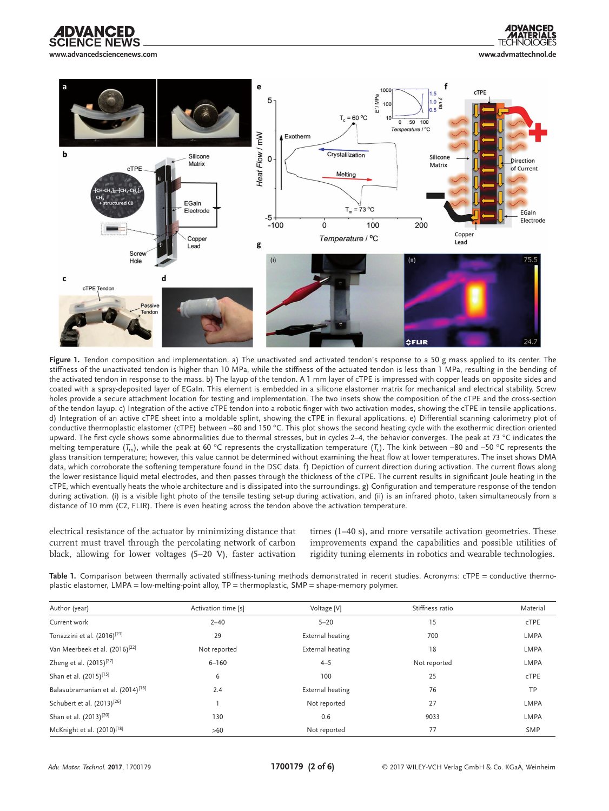

 $\mathbf c$ 

 $100$ cTPE E'/MPa 5  $\overline{0}$  $T_c = 60 °C$  $\overline{0}$  $50 100$ Temperature / °C Heat Flow / mW Exotherm h Crystallization Silicone Silicone  $\Omega$ Direction Matrix Matrix **CTPF** of Current Melting CH-CH-1<del>. F</del>CH--CH-1 tructured Cl EGaln  $T_m = 73 °C$ Electrode **FGaln** -5 <del>|</del><br>-100 Electrode  $\dot{o}$ 100 200 Copper Temperature / °C Coppe Lead g Lead **Scre**  $(\sf{i})$ Hole  $(iii)$ CTPF **Fendon AFLIR** 

Figure 1. Tendon composition and implementation. a) The unactivated and activated tendon's response to a 50 g mass applied to its center. The stiffness of the unactivated tendon is higher than 10 MPa, while the stiffness of the actuated tendon is less than 1 MPa, resulting in the bending of the activated tendon in response to the mass. b) The layup of the tendon. A 1 mm layer of cTPE is impressed with copper leads on opposite sides and coated with a spray-deposited layer of EGaIn. This element is embedded in a silicone elastomer matrix for mechanical and electrical stability. Screw holes provide a secure attachment location for testing and implementation. The two insets show the composition of the cTPE and the cross-section of the tendon layup. c) Integration of the active cTPE tendon into a robotic finger with two activation modes, showing the cTPE in tensile applications. d) Integration of an active cTPE sheet into a moldable splint, showing the cTPE in flexural applications. e) Differential scanning calorimetry plot of conductive thermoplastic elastomer (cTPE) between −80 and 150 °C. This plot shows the second heating cycle with the exothermic direction oriented upward. The first cycle shows some abnormalities due to thermal stresses, but in cycles 2–4, the behavior converges. The peak at 73 °C indicates the melting temperature (*T*m), while the peak at 60 °C represents the crystallization temperature (*T*c). The kink between −80 and −50 °C represents the glass transition temperature; however, this value cannot be determined without examining the heat flow at lower temperatures. The inset shows DMA data, which corroborate the softening temperature found in the DSC data. f) Depiction of current direction during activation. The current flows along the lower resistance liquid metal electrodes, and then passes through the thickness of the cTPE. The current results in significant Joule heating in the cTPE, which eventually heats the whole architecture and is dissipated into the surroundings. g) Configuration and temperature response of the tendon during activation. (i) is a visible light photo of the tensile testing set-up during activation, and (ii) is an infrared photo, taken simultaneously from a distance of 10 mm (C2, FLIR). There is even heating across the tendon above the activation temperature.

electrical resistance of the actuator by minimizing distance that current must travel through the percolating network of carbon black, allowing for lower voltages (5–20 V), faster activation

times (1–40 s), and more versatile activation geometries. These improvements expand the capabilities and possible utilities of rigidity tuning elements in robotics and wearable technologies.

Table 1. Comparison between thermally activated stiffness-tuning methods demonstrated in recent studies. Acronyms: cTPE = conductive thermoplastic elastomer, LMPA = low-melting-point alloy, TP = thermoplastic, SMP = shape-memory polymer.

| Author (year)                                 | Activation time [s] | Voltage [V]      | Stiffness ratio | Material    |
|-----------------------------------------------|---------------------|------------------|-----------------|-------------|
| Current work                                  | $2 - 40$            | $5 - 20$         | 15              | cTPE        |
| Tonazzini et al. (2016) <sup>[21]</sup>       | 29                  | External heating | 700             | LMPA        |
| Van Meerbeek et al. (2016) <sup>[22]</sup>    | Not reported        | External heating | 18              | <b>LMPA</b> |
| Zheng et al. (2015) <sup>[27]</sup>           | $6 - 160$           | $4 - 5$          | Not reported    | <b>LMPA</b> |
| Shan et al. (2015) <sup>[15]</sup>            | 6                   | 100              | 25              | <b>cTPE</b> |
| Balasubramanian et al. (2014) <sup>[16]</sup> | 2.4                 | External heating | 76              | TP          |
| Schubert et al. (2013) <sup>[26]</sup>        |                     | Not reported     | 27              | <b>LMPA</b> |
| Shan et al. (2013) <sup>[20]</sup>            | 130                 | 0.6              | 9033            | <b>LMPA</b> |
| McKnight et al. (2010) <sup>[18]</sup>        | >60                 | Not reported     | 77              | <b>SMP</b>  |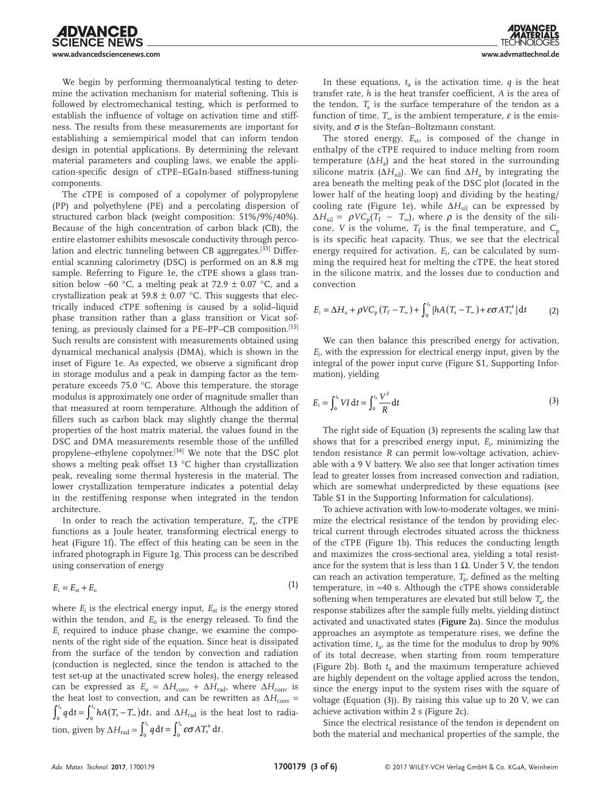We begin by performing thermoanalytical testing to determine the activation mechanism for material softening. This is followed by electromechanical testing, which is performed to establish the influence of voltage on activation time and stiffness. The results from these measurements are important for establishing a semiempirical model that can inform tendon design in potential applications. By determining the relevant material parameters and coupling laws, we enable the application-specific design of cTPE–EGaIn-based stiffness-tuning components.

The cTPE is composed of a copolymer of polypropylene (PP) and polyethylene (PE) and a percolating dispersion of structured carbon black (weight composition: 51%/9%/40%). Because of the high concentration of carbon black (CB), the entire elastomer exhibits mesoscale conductivity through percolation and electric tunneling between CB aggregates.[33] Differential scanning calorimetry (DSC) is performed on an 8.8 mg sample. Referring to Figure 1e, the cTPE shows a glass transition below −60 °C, a melting peak at 72.9  $\pm$  0.07 °C, and a crystallization peak at 59.8  $\pm$  0.07 °C. This suggests that electrically induced cTPE softening is caused by a solid–liquid phase transition rather than a glass transition or Vicat softening, as previously claimed for a PE–PP–CB composition.[15] Such results are consistent with measurements obtained using dynamical mechanical analysis (DMA), which is shown in the inset of Figure 1e. As expected, we observe a significant drop in storage modulus and a peak in damping factor as the temperature exceeds 75.0 °C. Above this temperature, the storage modulus is approximately one order of magnitude smaller than that measured at room temperature. Although the addition of fillers such as carbon black may slightly change the thermal properties of the host matrix material, the values found in the DSC and DMA measurements resemble those of the unfilled propylene–ethylene copolymer.[34] We note that the DSC plot shows a melting peak offset 13 °C higher than crystallization peak, revealing some thermal hysteresis in the material. The lower crystallization temperature indicates a potential delay in the restiffening response when integrated in the tendon architecture.

In order to reach the activation temperature,  $T_a$ , the cTPE functions as a Joule heater, transforming electrical energy to heat (Figure 1f). The effect of this heating can be seen in the infrared photograph in Figure 1g. This process can be described using conservation of energy

$$
E_{\rm i}=E_{\rm st}+E_{\rm o}\tag{1}
$$

where  $E_i$  is the electrical energy input,  $E_{st}$  is the energy stored within the tendon, and  $E_0$  is the energy released. To find the *E*i required to induce phase change, we examine the components of the right side of the equation. Since heat is dissipated from the surface of the tendon by convection and radiation (conduction is neglected, since the tendon is attached to the test set-up at the unactivated screw holes), the energy released can be expressed as  $E_0 = \Delta H_{\text{conv}} + \Delta H_{\text{rad}}$ , where  $\Delta H_{\text{conv}}$  is the heat lost to convection, and can be rewritten as  $\Delta H_{\text{conv}} =$  $\int_0^{t_a} q \, dt = \int_0^{t_a} h A(T_s - T_\infty) dt$ , and  $\Delta H_{\rm rad}$  is the heat lost to radiation, given by  $\Delta H_{\text{rad}} = \int_0^{t_a} q \, dt = \int_0^{t_a} \epsilon \sigma A T_s^4 \, dt$  $\int_0^{t_a} q \, dt = \int_0^{t_a} \varepsilon \sigma A T_s^4 \, dt.$ 

In these equations,  $t_a$  is the activation time,  $q$  is the heat transfer rate, *h* is the heat transfer coefficient, *A* is the area of the tendon,  $T<sub>s</sub>$  is the surface temperature of the tendon as a function of time,  $T_{\infty}$  is the ambient temperature,  $\varepsilon$  is the emissivity, and  $\sigma$  is the Stefan–Boltzmann constant.

The stored energy,  $E_{st}$ , is composed of the change in enthalpy of the cTPE required to induce melting from room temperature  $(\Delta H_a)$  and the heat stored in the surrounding silicone matrix ( $\Delta H_{\text{sil}}$ ). We can find  $\Delta H_{\text{a}}$  by integrating the area beneath the melting peak of the DSC plot (located in the lower half of the heating loop) and dividing by the heating/ cooling rate (Figure 1e), while  $ΔH<sub>sil</sub>$  can be expressed by  $\Delta H_{\text{sil}} = \rho V C_p (T_f - T_{\infty})$ , where  $\rho$  is the density of the silicone, *V* is the volume,  $T_f$  is the final temperature, and  $C_p$ is its specific heat capacity. Thus, we see that the electrical energy required for activation, *E*<sub>i</sub>, can be calculated by summing the required heat for melting the cTPE, the heat stored in the silicone matrix, and the losses due to conduction and convection

$$
E_{\rm i} = \Delta H_{\rm a} + \rho V C_{\rm p} \left( T_{\rm f} - T_{\infty} \right) + \int_0^{t_{\rm a}} \left[ h A \left( T_{\rm s} - T_{\infty} \right) + \varepsilon \sigma A T_{\rm s}^4 \right] \mathrm{d}t \tag{2}
$$

We can then balance this prescribed energy for activation, *E*i , with the expression for electrical energy input, given by the integral of the power input curve (Figure S1, Supporting Information), yielding

$$
E_{\rm i} = \int_0^{t_{\rm i}} VI \, \mathrm{d}t = \int_0^{t_{\rm i}} \frac{V^2}{R} \, \mathrm{d}t \tag{3}
$$

The right side of Equation (3) represents the scaling law that shows that for a prescribed energy input,  $E_i$ , minimizing the tendon resistance *R* can permit low-voltage activation, achievable with a 9 V battery. We also see that longer activation times lead to greater losses from increased convection and radiation, which are somewhat underpredicted by these equations (see Table S1 in the Supporting Information for calculations).

To achieve activation with low-to-moderate voltages, we minimize the electrical resistance of the tendon by providing electrical current through electrodes situated across the thickness of the cTPE (Figure 1b). This reduces the conducting length and maximizes the cross-sectional area, yielding a total resistance for the system that is less than 1  $Ω$ . Under 5 V, the tendon can reach an activation temperature, *T<sub>a</sub>*, defined as the melting temperature, in  $\approx 40$  s. Although the cTPE shows considerable softening when temperatures are elevated but still below  $T_a$ , the response stabilizes after the sample fully melts, yielding distinct activated and unactivated states (**Figure 2**a). Since the modulus approaches an asymptote as temperature rises, we define the activation time, *t*a, as the time for the modulus to drop by 90% of its total decrease, when starting from room temperature (Figure 2b). Both  $t_a$  and the maximum temperature achieved are highly dependent on the voltage applied across the tendon, since the energy input to the system rises with the square of voltage (Equation (3)). By raising this value up to 20 V, we can achieve activation within 2 s (Figure 2c).

Since the electrical resistance of the tendon is dependent on both the material and mechanical properties of the sample, the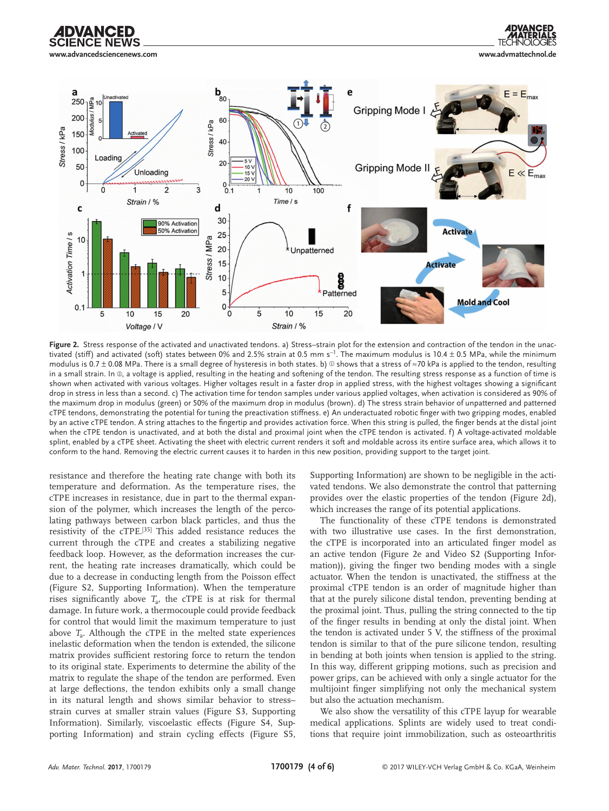



**Figure 2.** Stress response of the activated and unactivated tendons. a) Stress–strain plot for the extension and contraction of the tendon in the unactivated (stiff) and activated (soft) states between 0% and 2.5% strain at 0.5 mm s<sup>−1</sup>. The maximum modulus is 10.4 ± 0.5 MPa, while the minimum modulus is 0.7 ± 0.08 MPa. There is a small degree of hysteresis in both states. b) © shows that a stress of  $\approx$ 70 kPa is applied to the tendon, resulting in a small strain. In ②, a voltage is applied, resulting in the heating and softening of the tendon. The resulting stress response as a function of time is shown when activated with various voltages. Higher voltages result in a faster drop in applied stress, with the highest voltages showing a significant drop in stress in less than a second. c) The activation time for tendon samples under various applied voltages, when activation is considered as 90% of the maximum drop in modulus (green) or 50% of the maximum drop in modulus (brown). d) The stress strain behavior of unpatterned and patterned cTPE tendons, demonstrating the potential for tuning the preactivation stiffness. e) An underactuated robotic finger with two gripping modes, enabled by an active cTPE tendon. A string attaches to the fingertip and provides activation force. When this string is pulled, the finger bends at the distal joint when the cTPE tendon is unactivated, and at both the distal and proximal joint when the cTPE tendon is activated. f) A voltage-activated moldable splint, enabled by a cTPE sheet. Activating the sheet with electric current renders it soft and moldable across its entire surface area, which allows it to conform to the hand. Removing the electric current causes it to harden in this new position, providing support to the target joint.

resistance and therefore the heating rate change with both its temperature and deformation. As the temperature rises, the cTPE increases in resistance, due in part to the thermal expansion of the polymer, which increases the length of the percolating pathways between carbon black particles, and thus the resistivity of the cTPE.[35] This added resistance reduces the current through the cTPE and creates a stabilizing negative feedback loop. However, as the deformation increases the current, the heating rate increases dramatically, which could be due to a decrease in conducting length from the Poisson effect (Figure S2, Supporting Information). When the temperature rises significantly above  $T_a$ , the cTPE is at risk for thermal damage. In future work, a thermocouple could provide feedback for control that would limit the maximum temperature to just above  $T_a$ . Although the cTPE in the melted state experiences inelastic deformation when the tendon is extended, the silicone matrix provides sufficient restoring force to return the tendon to its original state. Experiments to determine the ability of the matrix to regulate the shape of the tendon are performed. Even at large deflections, the tendon exhibits only a small change in its natural length and shows similar behavior to stress– strain curves at smaller strain values (Figure S3, Supporting Information). Similarly, viscoelastic effects (Figure S4, Supporting Information) and strain cycling effects (Figure S5, Supporting Information) are shown to be negligible in the activated tendons. We also demonstrate the control that patterning provides over the elastic properties of the tendon (Figure 2d), which increases the range of its potential applications.

The functionality of these cTPE tendons is demonstrated with two illustrative use cases. In the first demonstration, the cTPE is incorporated into an articulated finger model as an active tendon (Figure 2e and Video S2 (Supporting Information)), giving the finger two bending modes with a single actuator. When the tendon is unactivated, the stiffness at the proximal cTPE tendon is an order of magnitude higher than that at the purely silicone distal tendon, preventing bending at the proximal joint. Thus, pulling the string connected to the tip of the finger results in bending at only the distal joint. When the tendon is activated under 5 V, the stiffness of the proximal tendon is similar to that of the pure silicone tendon, resulting in bending at both joints when tension is applied to the string. In this way, different gripping motions, such as precision and power grips, can be achieved with only a single actuator for the multijoint finger simplifying not only the mechanical system but also the actuation mechanism.

We also show the versatility of this cTPE layup for wearable medical applications. Splints are widely used to treat conditions that require joint immobilization, such as osteoarthritis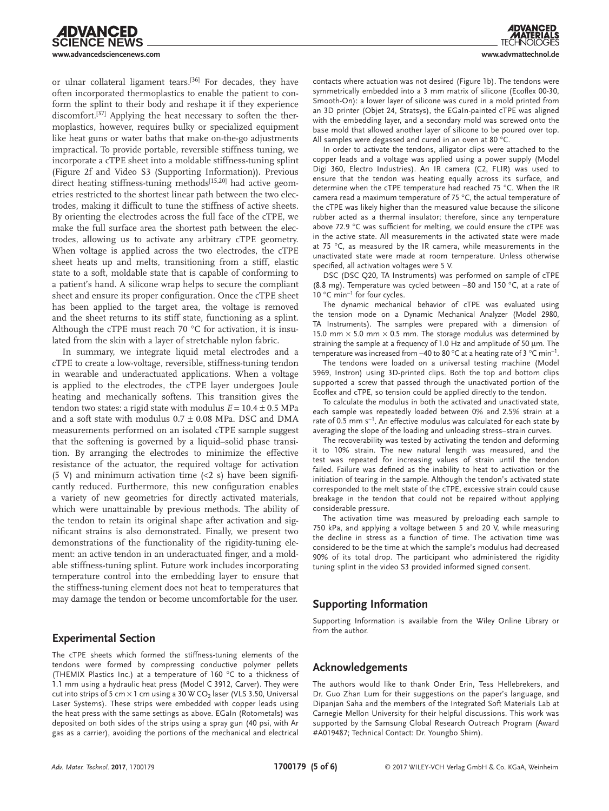or ulnar collateral ligament tears.[36] For decades, they have often incorporated thermoplastics to enable the patient to conform the splint to their body and reshape it if they experience discomfort.<sup>[37]</sup> Applying the heat necessary to soften the thermoplastics, however, requires bulky or specialized equipment like heat guns or water baths that make on-the-go adjustments impractical. To provide portable, reversible stiffness tuning, we incorporate a cTPE sheet into a moldable stiffness-tuning splint (Figure 2f and Video S3 (Supporting Information)). Previous direct heating stiffness-tuning methods<sup>[15,20]</sup> had active geometries restricted to the shortest linear path between the two electrodes, making it difficult to tune the stiffness of active sheets. By orienting the electrodes across the full face of the cTPE, we make the full surface area the shortest path between the electrodes, allowing us to activate any arbitrary cTPE geometry. When voltage is applied across the two electrodes, the cTPE sheet heats up and melts, transitioning from a stiff, elastic state to a soft, moldable state that is capable of conforming to a patient's hand. A silicone wrap helps to secure the compliant sheet and ensure its proper configuration. Once the cTPE sheet has been applied to the target area, the voltage is removed and the sheet returns to its stiff state, functioning as a splint. Although the cTPE must reach 70 °C for activation, it is insulated from the skin with a layer of stretchable nylon fabric.

In summary, we integrate liquid metal electrodes and a cTPE to create a low-voltage, reversible, stiffness-tuning tendon in wearable and underactuated applications. When a voltage is applied to the electrodes, the cTPE layer undergoes Joule heating and mechanically softens. This transition gives the tendon two states: a rigid state with modulus  $E = 10.4 \pm 0.5$  MPa and a soft state with modulus  $0.7 \pm 0.08$  MPa. DSC and DMA measurements performed on an isolated cTPE sample suggest that the softening is governed by a liquid–solid phase transition. By arranging the electrodes to minimize the effective resistance of the actuator, the required voltage for activation (5 V) and minimum activation time  $\langle 2 \rangle$  s) have been significantly reduced. Furthermore, this new configuration enables a variety of new geometries for directly activated materials, which were unattainable by previous methods. The ability of the tendon to retain its original shape after activation and significant strains is also demonstrated. Finally, we present two demonstrations of the functionality of the rigidity-tuning element: an active tendon in an underactuated finger, and a moldable stiffness-tuning splint. Future work includes incorporating temperature control into the embedding layer to ensure that the stiffness-tuning element does not heat to temperatures that may damage the tendon or become uncomfortable for the user.

#### **Experimental Section**

The cTPE sheets which formed the stiffness-tuning elements of the tendons were formed by compressing conductive polymer pellets (THEMIX Plastics Inc.) at a temperature of 160 °C to a thickness of 1.1 mm using a hydraulic heat press (Model C 3912, Carver). They were cut into strips of 5 cm  $\times$  1 cm using a 30 W CO<sub>2</sub> laser (VLS 3.50, Universal Laser Systems). These strips were embedded with copper leads using the heat press with the same settings as above. EGaIn (Rotometals) was deposited on both sides of the strips using a spray gun (40 psi, with Ar gas as a carrier), avoiding the portions of the mechanical and electrical

contacts where actuation was not desired (Figure 1b). The tendons were symmetrically embedded into a 3 mm matrix of silicone (Ecoflex 00-30, Smooth-On): a lower layer of silicone was cured in a mold printed from an 3D printer (Objet 24, Stratsys), the EGaIn-painted cTPE was aligned with the embedding layer, and a secondary mold was screwed onto the base mold that allowed another layer of silicone to be poured over top. All samples were degassed and cured in an oven at 80 °C.

In order to activate the tendons, alligator clips were attached to the copper leads and a voltage was applied using a power supply (Model Digi 360, Electro Industries). An IR camera (C2, FLIR) was used to ensure that the tendon was heating equally across its surface, and determine when the cTPE temperature had reached 75 °C. When the IR camera read a maximum temperature of 75 °C, the actual temperature of the cTPE was likely higher than the measured value because the silicone rubber acted as a thermal insulator; therefore, since any temperature above 72.9 °C was sufficient for melting, we could ensure the cTPE was in the active state. All measurements in the activated state were made at 75 °C, as measured by the IR camera, while measurements in the unactivated state were made at room temperature. Unless otherwise specified, all activation voltages were 5 V.

DSC (DSC Q20, TA Instruments) was performed on sample of cTPE (8.8 mg). Temperature was cycled between −80 and 150 °C, at a rate of 10 °C min<sup>-1</sup> for four cycles.

The dynamic mechanical behavior of cTPE was evaluated using the tension mode on a Dynamic Mechanical Analyzer (Model 2980, TA Instruments). The samples were prepared with a dimension of 15.0 mm  $\times$  5.0 mm  $\times$  0.5 mm. The storage modulus was determined by straining the sample at a frequency of 1.0 Hz and amplitude of 50 µm. The temperature was increased from –40 to 80 °C at a heating rate of 3 °C min<sup>-1</sup>.

The tendons were loaded on a universal testing machine (Model 5969, Instron) using 3D-printed clips. Both the top and bottom clips supported a screw that passed through the unactivated portion of the Ecoflex and cTPE, so tension could be applied directly to the tendon.

To calculate the modulus in both the activated and unactivated state, each sample was repeatedly loaded between 0% and 2.5% strain at a rate of 0.5 mm s<sup>-1</sup>. An effective modulus was calculated for each state by averaging the slope of the loading and unloading stress–strain curves.

The recoverability was tested by activating the tendon and deforming it to 10% strain. The new natural length was measured, and the test was repeated for increasing values of strain until the tendon failed. Failure was defined as the inability to heat to activation or the initiation of tearing in the sample. Although the tendon's activated state corresponded to the melt state of the cTPE, excessive strain could cause breakage in the tendon that could not be repaired without applying considerable pressure.

The activation time was measured by preloading each sample to 750 kPa, and applying a voltage between 5 and 20 V, while measuring the decline in stress as a function of time. The activation time was considered to be the time at which the sample's modulus had decreased 90% of its total drop. The participant who administered the rigidity tuning splint in the video S3 provided informed signed consent.

## **Supporting Information**

Supporting Information is available from the Wiley Online Library or from the author.

## **Acknowledgements**

The authors would like to thank Onder Erin, Tess Hellebrekers, and Dr. Guo Zhan Lum for their suggestions on the paper's language, and Dipanjan Saha and the members of the Integrated Soft Materials Lab at Carnegie Mellon University for their helpful discussions. This work was supported by the Samsung Global Research Outreach Program (Award #A019487; Technical Contact: Dr. Youngbo Shim).